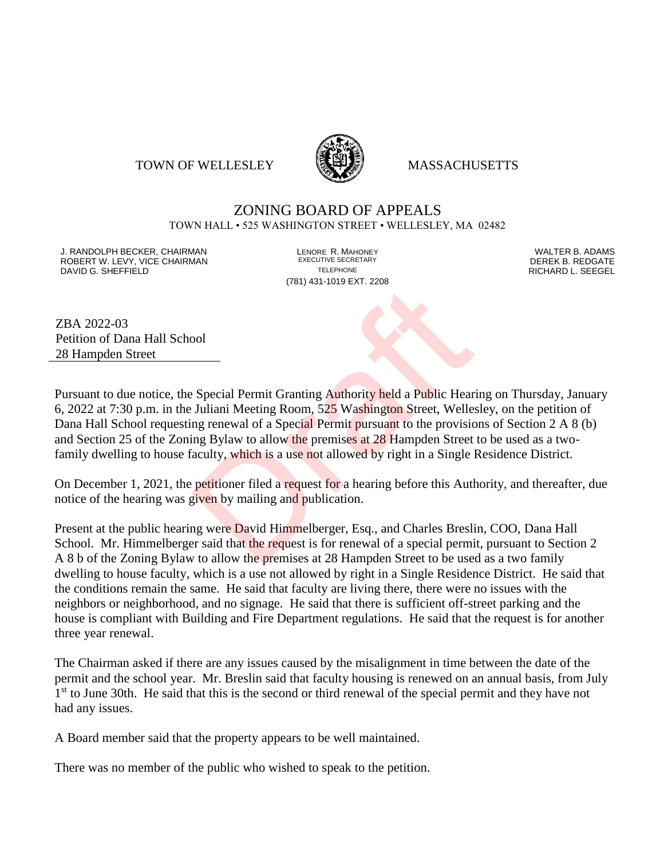#### TOWN OF WELLESLEY **WELLESLEY** MASSACHUSETTS



# ZONING BOARD OF APPEALS

TOWN HALL • 525 WASHINGTON STREET • WELLESLEY, MA 02482

J. RANDOLPH BECKER, CHAIRMAN LENORE R. MAHONEY LENORE R. MAHONEY LENORE RESERVED BY AN ALTER B. ADAMS UNITER B<br>IN ROBERT W. LEVY. VICE CHAIRMAN LETTER AND RESERT ARE EXECUTIVE SECRETARY LETTER TO LETTER BY DEREK B. REDGATE ROBERT W. LEVY, VICE CHAIRMAN EXECUTIVE SECRETARY OF LEVEL CHAIRMAN DAVID G. SHEFFIELD TELEPHONE RICHARD L. SEEGEL

(781) 431-1019 EXT. 2208

ZBA 2022-03 Petition of Dana Hall School 28 Hampden Street

Pursuant to due notice, the Special Permit Granting Authority held a Public Hearing on Thursday, January 6, 2022 at 7:30 p.m. in the Juliani Meeting Room, 525 Washington Street, Wellesley, on the petition of Dana Hall School requesting renewal of a Special Permit pursuant to the provisions of Section 2 A 8 (b) and Section 25 of the Zoning Bylaw to allow the premises at 28 Hampden Street to be used as a twofamily dwelling to house faculty, which is a use not allowed by right in a Single Residence District. ool<br>
Special Permit Granting Authority held a Public Hear<br>
Juliani Meeting Room, 525 Washington Street, Welles<br>
ing renewal of a Special Permit pursuant to the provision<br>
Special Permit pursuant to the provision<br>
Special P

On December 1, 2021, the petitioner filed a request for a hearing before this Authority, and thereafter, due notice of the hearing was given by mailing and publication.

Present at the public hearing were David Himmelberger, Esq., and Charles Breslin, COO, Dana Hall School. Mr. Himmelberger said that the request is for renewal of a special permit, pursuant to Section 2 A 8 b of the Zoning Bylaw to allow the premises at 28 Hampden Street to be used as a two family dwelling to house faculty, which is a use not allowed by right in a Single Residence District. He said that the conditions remain the same. He said that faculty are living there, there were no issues with the neighbors or neighborhood, and no signage. He said that there is sufficient off-street parking and the house is compliant with Building and Fire Department regulations. He said that the request is for another three year renewal.

The Chairman asked if there are any issues caused by the misalignment in time between the date of the permit and the school year. Mr. Breslin said that faculty housing is renewed on an annual basis, from July 1<sup>st</sup> to June 30th. He said that this is the second or third renewal of the special permit and they have not had any issues.

A Board member said that the property appears to be well maintained.

There was no member of the public who wished to speak to the petition.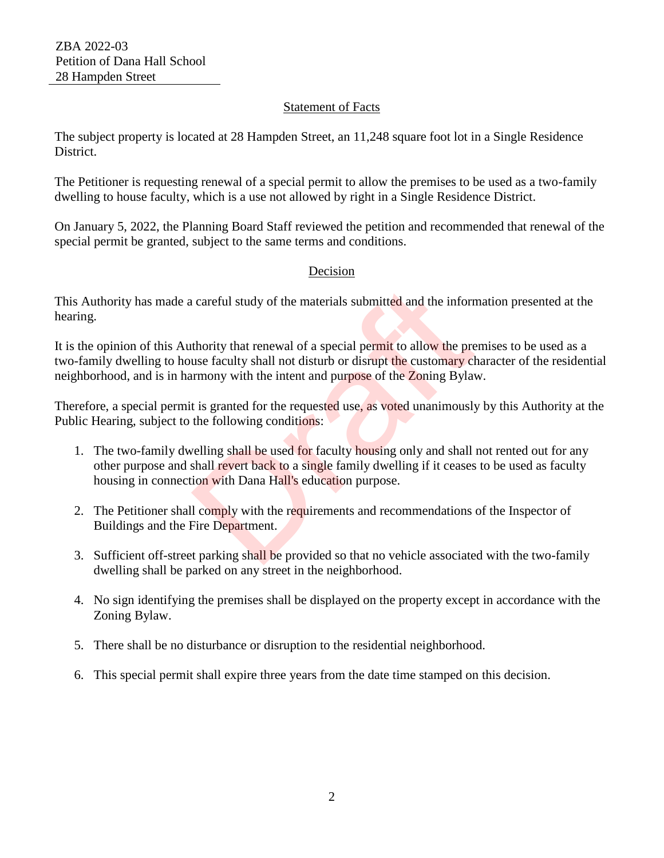### Statement of Facts

The subject property is located at 28 Hampden Street, an 11,248 square foot lot in a Single Residence District.

The Petitioner is requesting renewal of a special permit to allow the premises to be used as a two-family dwelling to house faculty, which is a use not allowed by right in a Single Residence District.

On January 5, 2022, the Planning Board Staff reviewed the petition and recommended that renewal of the special permit be granted, subject to the same terms and conditions.

## Decision

This Authority has made a careful study of the materials submitted and the information presented at the hearing.

It is the opinion of this Authority that renewal of a special permit to allow the premises to be used as a two-family dwelling to house faculty shall not disturb or disrupt the customary character of the residential neighborhood, and is in harmony with the intent and purpose of the Zoning Bylaw. careful study of the materials submitted and the inform<br>thority that renewal of a special permit to allow the pre<br>use faculty shall not disturb or disrupt the customary clumony with the intent and purpose of the Zoning Byl

Therefore, a special permit is granted for the requested use, as voted unanimously by this Authority at the Public Hearing, subject to the following conditions:

- 1. The two-family dwelling shall be used for faculty housing only and shall not rented out for any other purpose and shall revert back to a single family dwelling if it ceases to be used as faculty housing in connection with Dana Hall's education purpose.
- 2. The Petitioner shall comply with the requirements and recommendations of the Inspector of Buildings and the Fire Department.
- 3. Sufficient off-street parking shall be provided so that no vehicle associated with the two-family dwelling shall be parked on any street in the neighborhood.
- 4. No sign identifying the premises shall be displayed on the property except in accordance with the Zoning Bylaw.
- 5. There shall be no disturbance or disruption to the residential neighborhood.
- 6. This special permit shall expire three years from the date time stamped on this decision.